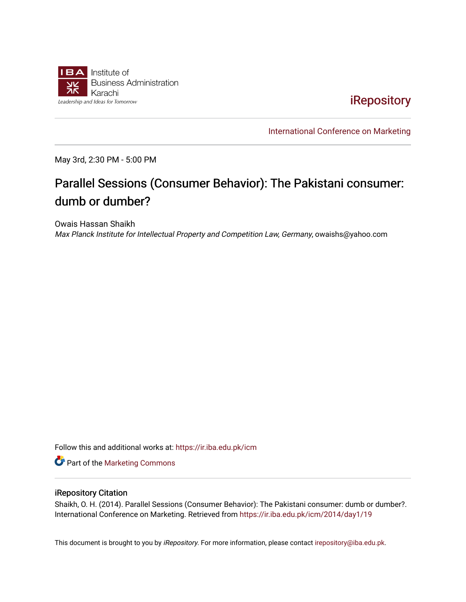

[iRepository](https://ir.iba.edu.pk/) 

[International Conference on Marketing](https://ir.iba.edu.pk/icm) 

May 3rd, 2:30 PM - 5:00 PM

# Parallel Sessions (Consumer Behavior): The Pakistani consumer: dumb or dumber?

Owais Hassan Shaikh Max Planck Institute for Intellectual Property and Competition Law, Germany, owaishs@yahoo.com

Follow this and additional works at: [https://ir.iba.edu.pk/icm](https://ir.iba.edu.pk/icm?utm_source=ir.iba.edu.pk%2Ficm%2F2014%2Fday1%2F19&utm_medium=PDF&utm_campaign=PDFCoverPages) 

**Part of the [Marketing Commons](http://network.bepress.com/hgg/discipline/638?utm_source=ir.iba.edu.pk%2Ficm%2F2014%2Fday1%2F19&utm_medium=PDF&utm_campaign=PDFCoverPages)** 

#### iRepository Citation

Shaikh, O. H. (2014). Parallel Sessions (Consumer Behavior): The Pakistani consumer: dumb or dumber?. International Conference on Marketing. Retrieved from [https://ir.iba.edu.pk/icm/2014/day1/19](https://ir.iba.edu.pk/icm/2014/day1/19?utm_source=ir.iba.edu.pk%2Ficm%2F2014%2Fday1%2F19&utm_medium=PDF&utm_campaign=PDFCoverPages)

This document is brought to you by iRepository. For more information, please contact [irepository@iba.edu.pk](mailto:irepository@iba.edu.pk).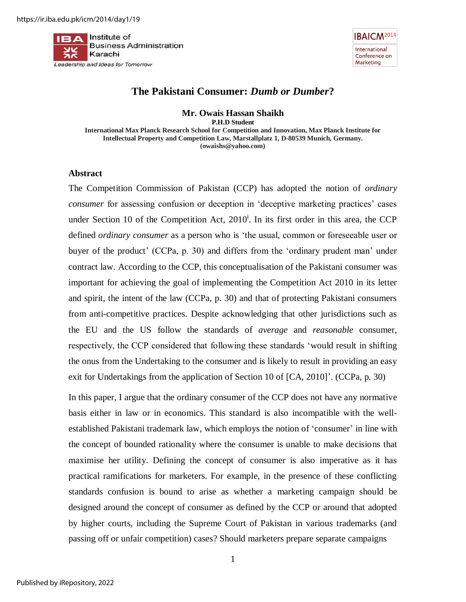



# **The Pakistani Consumer:** *Dumb or Dumber***?**

**Mr. Owais Hassan Shaikh P.H.D Student International Max Planck Research School for Competition and Innovation, Max Planck Institute for Intellectual Property and Competition Law, Marstallplatz 1, D-80539 Munich, Germany. (owaishs@yahoo.com)**

#### **Abstract**

The Competition Commission of Pakistan (CCP) has adopted the notion of *ordinary consumer* for assessing confusion or deception in 'deceptive marketing practices' cases under Section 10 of the Competition Act,  $2010^{\text{i}}$ . In its first order in this area, the CCP defined *ordinary consumer* as a person who is 'the usual, common or foreseeable user or buyer of the product' (CCPa, p. 30) and differs from the 'ordinary prudent man' under contract law. According to the CCP, this conceptualisation of the Pakistani consumer was important for achieving the goal of implementing the Competition Act 2010 in its letter and spirit, the intent of the law (CCPa, p. 30) and that of protecting Pakistani consumers from anti-competitive practices. Despite acknowledging that other jurisdictions such as the EU and the US follow the standards of *average* and *reasonable* consumer, respectively, the CCP considered that following these standards 'would result in shifting the onus from the Undertaking to the consumer and is likely to result in providing an easy exit for Undertakings from the application of Section 10 of [CA, 2010]'. (CCPa, p. 30)

In this paper, I argue that the ordinary consumer of the CCP does not have any normative basis either in law or in economics. This standard is also incompatible with the wellestablished Pakistani trademark law, which employs the notion of 'consumer' in line with the concept of bounded rationality where the consumer is unable to make decisions that maximise her utility. Defining the concept of consumer is also imperative as it has practical ramifications for marketers. For example, in the presence of these conflicting standards confusion is bound to arise as whether a marketing campaign should be designed around the concept of consumer as defined by the CCP or around that adopted by higher courts, including the Supreme Court of Pakistan in various trademarks (and passing off or unfair competition) cases? Should marketers prepare separate campaigns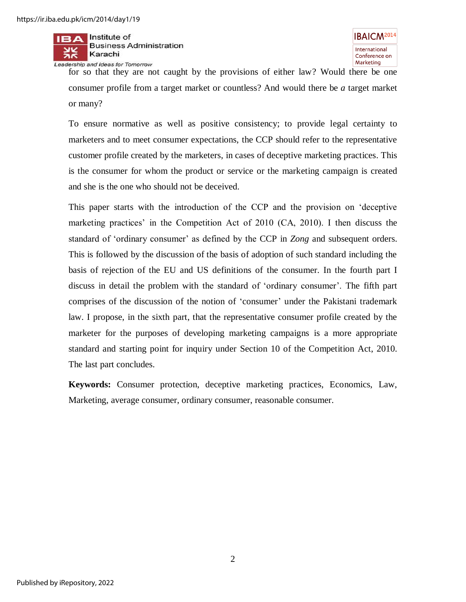$\overline{1}$  A Institute of **Business Administration** Karachi

Leadership and Ideas for Tomorrow



for so that they are not caught by the provisions of either law? Would there be one consumer profile from a target market or countless? And would there be *a* target market or many?

To ensure normative as well as positive consistency; to provide legal certainty to marketers and to meet consumer expectations, the CCP should refer to the representative customer profile created by the marketers, in cases of deceptive marketing practices. This is the consumer for whom the product or service or the marketing campaign is created and she is the one who should not be deceived.

This paper starts with the introduction of the CCP and the provision on 'deceptive marketing practices' in the Competition Act of 2010 (CA, 2010). I then discuss the standard of 'ordinary consumer' as defined by the CCP in *Zong* and subsequent orders. This is followed by the discussion of the basis of adoption of such standard including the basis of rejection of the EU and US definitions of the consumer. In the fourth part I discuss in detail the problem with the standard of 'ordinary consumer'. The fifth part comprises of the discussion of the notion of 'consumer' under the Pakistani trademark law. I propose, in the sixth part, that the representative consumer profile created by the marketer for the purposes of developing marketing campaigns is a more appropriate standard and starting point for inquiry under Section 10 of the Competition Act, 2010. The last part concludes.

**Keywords:** Consumer protection, deceptive marketing practices, Economics, Law, Marketing, average consumer, ordinary consumer, reasonable consumer.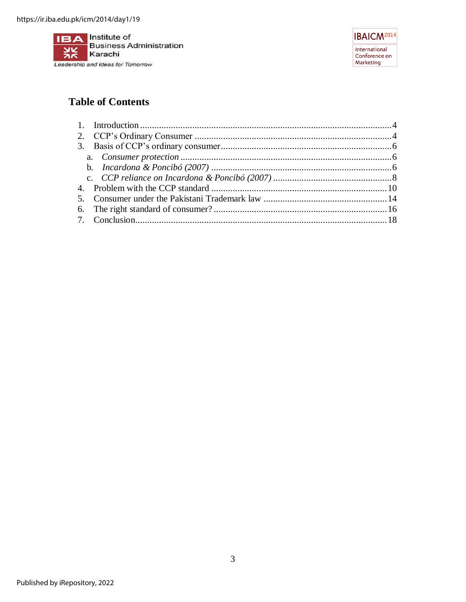



# **Table of Contents**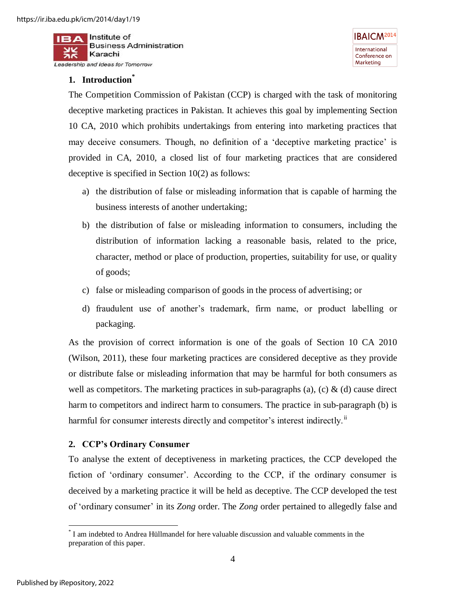$\mathbf{I}$  **Piper** Institute of **Business Administration** Karachi Leadership and Ideas for Tomorrow

# **1. Introduction\***

The Competition Commission of Pakistan (CCP) is charged with the task of monitoring deceptive marketing practices in Pakistan. It achieves this goal by implementing Section 10 CA, 2010 which prohibits undertakings from entering into marketing practices that may deceive consumers. Though, no definition of a 'deceptive marketing practice' is provided in CA, 2010, a closed list of four marketing practices that are considered deceptive is specified in Section 10(2) as follows:

- a) the distribution of false or misleading information that is capable of harming the business interests of another undertaking;
- b) the distribution of false or misleading information to consumers, including the distribution of information lacking a reasonable basis, related to the price, character, method or place of production, properties, suitability for use, or quality of goods;
- c) false or misleading comparison of goods in the process of advertising; or
- d) fraudulent use of another's trademark, firm name, or product labelling or packaging.

As the provision of correct information is one of the goals of Section 10 CA 2010 (Wilson, 2011), these four marketing practices are considered deceptive as they provide or distribute false or misleading information that may be harmful for both consumers as well as competitors. The marketing practices in sub-paragraphs (a), (c)  $\&$  (d) cause direct harm to competitors and indirect harm to consumers. The practice in sub-paragraph (b) is harmful for consumer interests directly and competitor's interest indirectly.<sup>ii</sup>

## **2. CCP's Ordinary Consumer**

To analyse the extent of deceptiveness in marketing practices, the CCP developed the fiction of 'ordinary consumer'. According to the CCP, if the ordinary consumer is deceived by a marketing practice it will be held as deceptive. The CCP developed the test of 'ordinary consumer' in its *Zong* order. The *Zong* order pertained to allegedly false and



 $\overline{a}$ \* I am indebted to Andrea Hüllmandel for here valuable discussion and valuable comments in the preparation of this paper.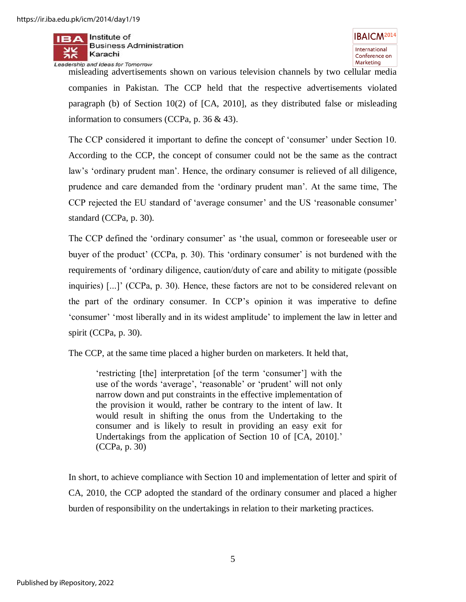

misleading advertisements shown on various television channels by two cellular media companies in Pakistan. The CCP held that the respective advertisements violated paragraph (b) of Section 10(2) of [CA, 2010], as they distributed false or misleading information to consumers (CCPa, p. 36 & 43).

The CCP considered it important to define the concept of 'consumer' under Section 10. According to the CCP, the concept of consumer could not be the same as the contract law's 'ordinary prudent man'. Hence, the ordinary consumer is relieved of all diligence, prudence and care demanded from the 'ordinary prudent man'. At the same time, The CCP rejected the EU standard of 'average consumer' and the US 'reasonable consumer' standard (CCPa, p. 30).

The CCP defined the 'ordinary consumer' as 'the usual, common or foreseeable user or buyer of the product' (CCPa, p. 30). This 'ordinary consumer' is not burdened with the requirements of 'ordinary diligence, caution/duty of care and ability to mitigate (possible inquiries) [...]' (CCPa, p. 30). Hence, these factors are not to be considered relevant on the part of the ordinary consumer. In CCP's opinion it was imperative to define 'consumer' 'most liberally and in its widest amplitude' to implement the law in letter and spirit (CCPa, p. 30).

The CCP, at the same time placed a higher burden on marketers. It held that,

'restricting [the] interpretation [of the term 'consumer'] with the use of the words 'average', 'reasonable' or 'prudent' will not only narrow down and put constraints in the effective implementation of the provision it would, rather be contrary to the intent of law. It would result in shifting the onus from the Undertaking to the consumer and is likely to result in providing an easy exit for Undertakings from the application of Section 10 of [CA, 2010].' (CCPa, p. 30)

In short, to achieve compliance with Section 10 and implementation of letter and spirit of CA, 2010, the CCP adopted the standard of the ordinary consumer and placed a higher burden of responsibility on the undertakings in relation to their marketing practices.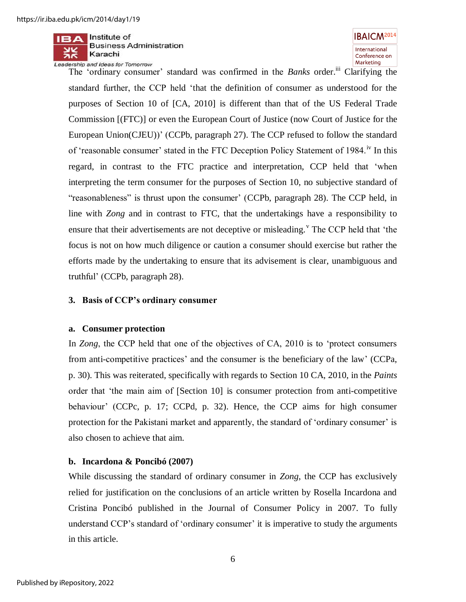

The 'ordinary consumer' standard was confirmed in the *Banks* order.iii Clarifying the

standard further, the CCP held 'that the definition of consumer as understood for the purposes of Section 10 of [CA, 2010] is different than that of the US Federal Trade Commission [(FTC)] or even the European Court of Justice (now Court of Justice for the European Union(CJEU))' (CCPb, paragraph 27). The CCP refused to follow the standard of 'reasonable consumer' stated in the FTC Deception Policy Statement of 1984.<sup>iv</sup> In this regard, in contrast to the FTC practice and interpretation, CCP held that 'when interpreting the term consumer for the purposes of Section 10, no subjective standard of "reasonableness" is thrust upon the consumer' (CCPb, paragraph 28). The CCP held, in line with *Zong* and in contrast to FTC, that the undertakings have a responsibility to ensure that their advertisements are not deceptive or misleading.<sup>V</sup> The CCP held that 'the focus is not on how much diligence or caution a consumer should exercise but rather the efforts made by the undertaking to ensure that its advisement is clear, unambiguous and truthful' (CCPb, paragraph 28).

#### **3. Basis of CCP's ordinary consumer**

#### **a. Consumer protection**

In *Zong*, the CCP held that one of the objectives of CA, 2010 is to 'protect consumers from anti-competitive practices' and the consumer is the beneficiary of the law' (CCPa, p. 30). This was reiterated, specifically with regards to Section 10 CA, 2010, in the *Paints*  order that 'the main aim of [Section 10] is consumer protection from anti-competitive behaviour' (CCPc, p. 17; CCPd, p. 32). Hence, the CCP aims for high consumer protection for the Pakistani market and apparently, the standard of 'ordinary consumer' is also chosen to achieve that aim.

#### **b. Incardona & Poncibó (2007)**

While discussing the standard of ordinary consumer in *Zong*, the CCP has exclusively relied for justification on the conclusions of an article written by Rosella Incardona and Cristina Poncibó published in the Journal of Consumer Policy in 2007. To fully understand CCP's standard of 'ordinary consumer' it is imperative to study the arguments in this article.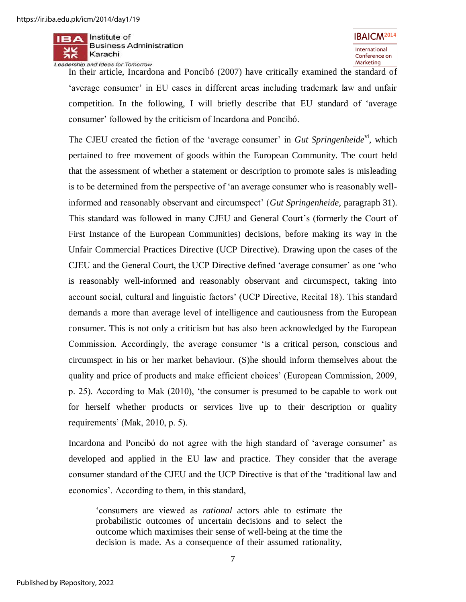

In their article, Incardona and Poncibó (2007) have critically examined the standard of 'average consumer' in EU cases in different areas including trademark law and unfair competition. In the following, I will briefly describe that EU standard of 'average consumer' followed by the criticism of Incardona and Poncibó.

The CJEU created the fiction of the 'average consumer' in *Gut Springenheide*<sup>vi</sup>, which pertained to free movement of goods within the European Community. The court held that the assessment of whether a statement or description to promote sales is misleading is to be determined from the perspective of 'an average consumer who is reasonably wellinformed and reasonably observant and circumspect' (*Gut Springenheide*, paragraph 31). This standard was followed in many CJEU and General Court's (formerly the Court of First Instance of the European Communities) decisions, before making its way in the Unfair Commercial Practices Directive (UCP Directive). Drawing upon the cases of the CJEU and the General Court, the UCP Directive defined 'average consumer' as one 'who is reasonably well-informed and reasonably observant and circumspect, taking into account social, cultural and linguistic factors' (UCP Directive, Recital 18). This standard demands a more than average level of intelligence and cautiousness from the European consumer. This is not only a criticism but has also been acknowledged by the European Commission. Accordingly, the average consumer 'is a critical person, conscious and circumspect in his or her market behaviour. (S)he should inform themselves about the quality and price of products and make efficient choices' (European Commission, 2009, p. 25). According to Mak (2010), 'the consumer is presumed to be capable to work out for herself whether products or services live up to their description or quality requirements' (Mak, 2010, p. 5).

Incardona and Poncibó do not agree with the high standard of 'average consumer' as developed and applied in the EU law and practice. They consider that the average consumer standard of the CJEU and the UCP Directive is that of the 'traditional law and economics'. According to them, in this standard,

'consumers are viewed as *rational* actors able to estimate the probabilistic outcomes of uncertain decisions and to select the outcome which maximises their sense of well-being at the time the decision is made. As a consequence of their assumed rationality,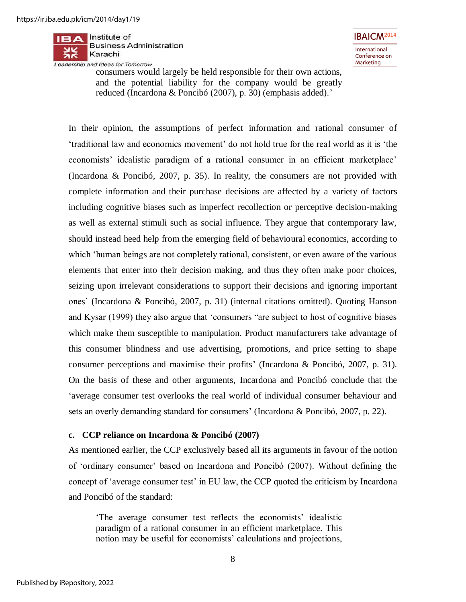



consumers would largely be held responsible for their own actions, and the potential liability for the company would be greatly reduced (Incardona & Poncibó (2007), p. 30) (emphasis added).'

In their opinion, the assumptions of perfect information and rational consumer of 'traditional law and economics movement' do not hold true for the real world as it is 'the economists' idealistic paradigm of a rational consumer in an efficient marketplace' (Incardona & Poncibó, 2007, p. 35). In reality, the consumers are not provided with complete information and their purchase decisions are affected by a variety of factors including cognitive biases such as imperfect recollection or perceptive decision-making as well as external stimuli such as social influence. They argue that contemporary law, should instead heed help from the emerging field of behavioural economics, according to which 'human beings are not completely rational, consistent, or even aware of the various elements that enter into their decision making, and thus they often make poor choices, seizing upon irrelevant considerations to support their decisions and ignoring important ones' (Incardona & Poncibó, 2007, p. 31) (internal citations omitted). Quoting Hanson and Kysar (1999) they also argue that 'consumers "are subject to host of cognitive biases which make them susceptible to manipulation. Product manufacturers take advantage of this consumer blindness and use advertising, promotions, and price setting to shape consumer perceptions and maximise their profits' (Incardona & Poncibó, 2007, p. 31). On the basis of these and other arguments, Incardona and Poncibó conclude that the 'average consumer test overlooks the real world of individual consumer behaviour and sets an overly demanding standard for consumers' (Incardona & Poncibó, 2007, p. 22).

#### **c. CCP reliance on Incardona & Poncibó (2007)**

As mentioned earlier, the CCP exclusively based all its arguments in favour of the notion of 'ordinary consumer' based on Incardona and Poncibó (2007). Without defining the concept of 'average consumer test' in EU law, the CCP quoted the criticism by Incardona and Poncibó of the standard:

'The average consumer test reflects the economists' idealistic paradigm of a rational consumer in an efficient marketplace. This notion may be useful for economists' calculations and projections,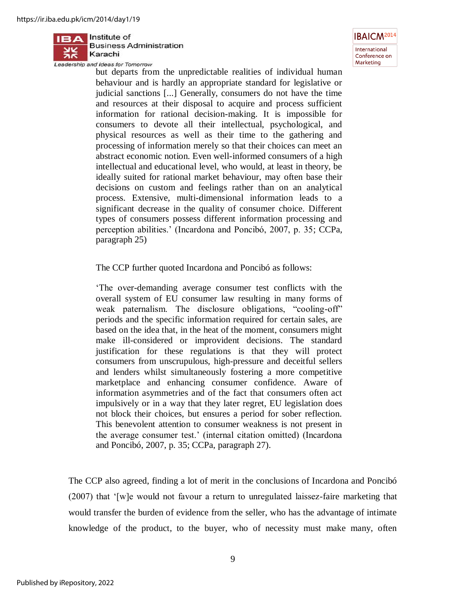

Leadership and Ideas for Tomorrow

but departs from the unpredictable realities of individual human behaviour and is hardly an appropriate standard for legislative or judicial sanctions [...] Generally, consumers do not have the time and resources at their disposal to acquire and process sufficient information for rational decision-making. It is impossible for consumers to devote all their intellectual, psychological, and physical resources as well as their time to the gathering and processing of information merely so that their choices can meet an abstract economic notion. Even well-informed consumers of a high intellectual and educational level, who would, at least in theory, be ideally suited for rational market behaviour, may often base their decisions on custom and feelings rather than on an analytical process. Extensive, multi-dimensional information leads to a significant decrease in the quality of consumer choice. Different types of consumers possess different information processing and perception abilities.' (Incardona and Poncibó, 2007, p. 35; CCPa, paragraph 25)

The CCP further quoted Incardona and Poncibó as follows:

'The over-demanding average consumer test conflicts with the overall system of EU consumer law resulting in many forms of weak paternalism. The disclosure obligations, "cooling-off" periods and the specific information required for certain sales, are based on the idea that, in the heat of the moment, consumers might make ill-considered or improvident decisions. The standard justification for these regulations is that they will protect consumers from unscrupulous, high-pressure and deceitful sellers and lenders whilst simultaneously fostering a more competitive marketplace and enhancing consumer confidence. Aware of information asymmetries and of the fact that consumers often act impulsively or in a way that they later regret, EU legislation does not block their choices, but ensures a period for sober reflection. This benevolent attention to consumer weakness is not present in the average consumer test.' (internal citation omitted) (Incardona and Poncibó, 2007, p. 35; CCPa, paragraph 27).

The CCP also agreed, finding a lot of merit in the conclusions of Incardona and Poncibó (2007) that '[w]e would not favour a return to unregulated laissez-faire marketing that would transfer the burden of evidence from the seller, who has the advantage of intimate knowledge of the product, to the buyer, who of necessity must make many, often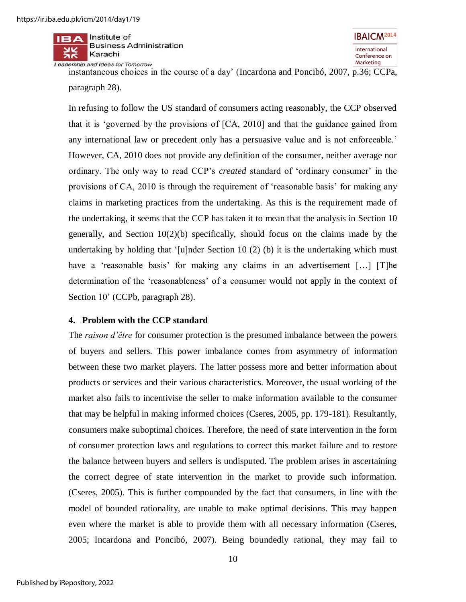

 $\overline{1}$   $\overline{2}$  Institute of **Business Administration** Karachi

Leadership and Ideas for Tomorrow

instantaneous choices in the course of a day' (Incardona and Poncibó, 2007, p.36; CCPa, paragraph 28).

In refusing to follow the US standard of consumers acting reasonably, the CCP observed that it is 'governed by the provisions of [CA, 2010] and that the guidance gained from any international law or precedent only has a persuasive value and is not enforceable.' However, CA, 2010 does not provide any definition of the consumer, neither average nor ordinary. The only way to read CCP's *created* standard of 'ordinary consumer' in the provisions of CA, 2010 is through the requirement of 'reasonable basis' for making any claims in marketing practices from the undertaking. As this is the requirement made of the undertaking, it seems that the CCP has taken it to mean that the analysis in Section 10 generally, and Section 10(2)(b) specifically, should focus on the claims made by the undertaking by holding that '[u]nder Section 10 (2) (b) it is the undertaking which must have a 'reasonable basis' for making any claims in an advertisement [...] [T]he determination of the 'reasonableness' of a consumer would not apply in the context of Section 10' (CCPb, paragraph 28).

## **4. Problem with the CCP standard**

The *raison d'être* for consumer protection is the presumed imbalance between the powers of buyers and sellers. This power imbalance comes from asymmetry of information between these two market players. The latter possess more and better information about products or services and their various characteristics. Moreover, the usual working of the market also fails to incentivise the seller to make information available to the consumer that may be helpful in making informed choices (Cseres, 2005, pp. 179-181). Resultantly, consumers make suboptimal choices. Therefore, the need of state intervention in the form of consumer protection laws and regulations to correct this market failure and to restore the balance between buyers and sellers is undisputed. The problem arises in ascertaining the correct degree of state intervention in the market to provide such information. (Cseres, 2005). This is further compounded by the fact that consumers, in line with the model of bounded rationality, are unable to make optimal decisions. This may happen even where the market is able to provide them with all necessary information (Cseres, 2005; Incardona and Poncibó, 2007). Being boundedly rational, they may fail to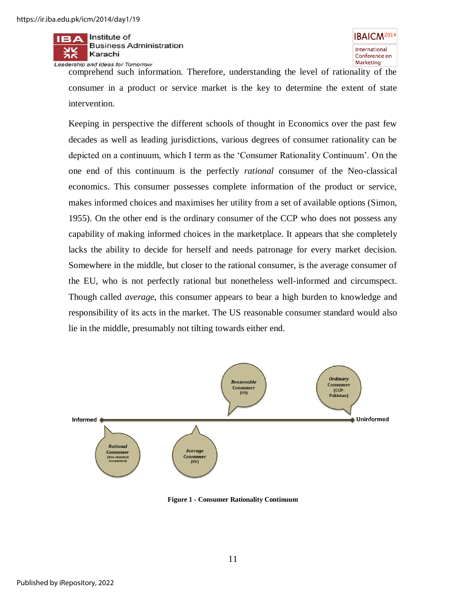



comprehend such information. Therefore, understanding the level of rationality of the consumer in a product or service market is the key to determine the extent of state intervention.

Keeping in perspective the different schools of thought in Economics over the past few decades as well as leading jurisdictions, various degrees of consumer rationality can be depicted on a continuum, which I term as the 'Consumer Rationality Continuum'. On the one end of this continuum is the perfectly *rational* consumer of the Neo-classical economics. This consumer possesses complete information of the product or service, makes informed choices and maximises her utility from a set of available options (Simon, 1955). On the other end is the ordinary consumer of the CCP who does not possess any capability of making informed choices in the marketplace. It appears that she completely lacks the ability to decide for herself and needs patronage for every market decision. Somewhere in the middle, but closer to the rational consumer, is the average consumer of the EU, who is not perfectly rational but nonetheless well-informed and circumspect. Though called *average*, this consumer appears to bear a high burden to knowledge and responsibility of its acts in the market. The US reasonable consumer standard would also lie in the middle, presumably not tilting towards either end.



**Figure 1 - Consumer Rationality Continuum**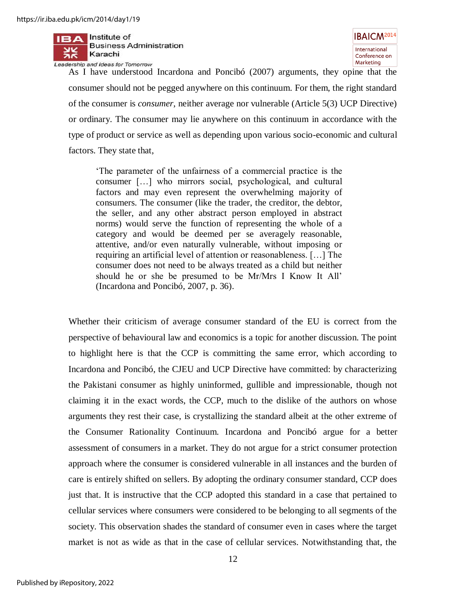**IBA** Institute of **Business Administration** Karachi ⊼⊼ Leadership and Ideas for Tomorrow



As I have understood Incardona and Poncibó (2007) arguments, they opine that the consumer should not be pegged anywhere on this continuum. For them, the right standard of the consumer is *consumer*, neither average nor vulnerable (Article 5(3) UCP Directive) or ordinary. The consumer may lie anywhere on this continuum in accordance with the type of product or service as well as depending upon various socio-economic and cultural factors. They state that,

'The parameter of the unfairness of a commercial practice is the consumer […] who mirrors social, psychological, and cultural factors and may even represent the overwhelming majority of consumers. The consumer (like the trader, the creditor, the debtor, the seller, and any other abstract person employed in abstract norms) would serve the function of representing the whole of a category and would be deemed per se averagely reasonable, attentive, and/or even naturally vulnerable, without imposing or requiring an artificial level of attention or reasonableness. […] The consumer does not need to be always treated as a child but neither should he or she be presumed to be Mr/Mrs I Know It All' (Incardona and Poncibó, 2007, p. 36).

Whether their criticism of average consumer standard of the EU is correct from the perspective of behavioural law and economics is a topic for another discussion. The point to highlight here is that the CCP is committing the same error, which according to Incardona and Poncibó, the CJEU and UCP Directive have committed: by characterizing the Pakistani consumer as highly uninformed, gullible and impressionable, though not claiming it in the exact words, the CCP, much to the dislike of the authors on whose arguments they rest their case, is crystallizing the standard albeit at the other extreme of the Consumer Rationality Continuum. Incardona and Poncibó argue for a better assessment of consumers in a market. They do not argue for a strict consumer protection approach where the consumer is considered vulnerable in all instances and the burden of care is entirely shifted on sellers. By adopting the ordinary consumer standard, CCP does just that. It is instructive that the CCP adopted this standard in a case that pertained to cellular services where consumers were considered to be belonging to all segments of the society. This observation shades the standard of consumer even in cases where the target market is not as wide as that in the case of cellular services. Notwithstanding that, the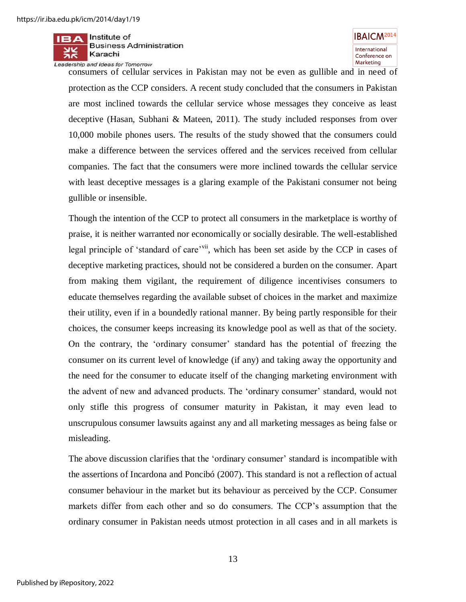Institute of **Business Administration** Karachi

**IBAICM<sup>2014</sup>** International Conference on Marketing

Leadership and Ideas for Tomorrow

consumers of cellular services in Pakistan may not be even as gullible and in need of protection as the CCP considers. A recent study concluded that the consumers in Pakistan are most inclined towards the cellular service whose messages they conceive as least deceptive (Hasan, Subhani & Mateen, 2011). The study included responses from over 10,000 mobile phones users. The results of the study showed that the consumers could make a difference between the services offered and the services received from cellular companies. The fact that the consumers were more inclined towards the cellular service with least deceptive messages is a glaring example of the Pakistani consumer not being gullible or insensible.

Though the intention of the CCP to protect all consumers in the marketplace is worthy of praise, it is neither warranted nor economically or socially desirable. The well-established legal principle of 'standard of care'<sup>vii</sup>, which has been set aside by the CCP in cases of deceptive marketing practices, should not be considered a burden on the consumer. Apart from making them vigilant, the requirement of diligence incentivises consumers to educate themselves regarding the available subset of choices in the market and maximize their utility, even if in a boundedly rational manner. By being partly responsible for their choices, the consumer keeps increasing its knowledge pool as well as that of the society. On the contrary, the 'ordinary consumer' standard has the potential of freezing the consumer on its current level of knowledge (if any) and taking away the opportunity and the need for the consumer to educate itself of the changing marketing environment with the advent of new and advanced products. The 'ordinary consumer' standard, would not only stifle this progress of consumer maturity in Pakistan, it may even lead to unscrupulous consumer lawsuits against any and all marketing messages as being false or misleading.

The above discussion clarifies that the 'ordinary consumer' standard is incompatible with the assertions of Incardona and Poncibó (2007). This standard is not a reflection of actual consumer behaviour in the market but its behaviour as perceived by the CCP. Consumer markets differ from each other and so do consumers. The CCP's assumption that the ordinary consumer in Pakistan needs utmost protection in all cases and in all markets is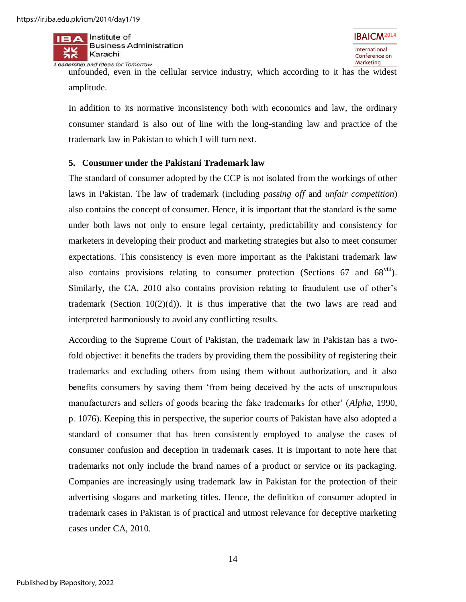

 $\mathbf{I}$  **Piper** Institute of **Business Administration** Karachi

Leadership and Ideas for Tomorrow

unfounded, even in the cellular service industry, which according to it has the widest amplitude.

In addition to its normative inconsistency both with economics and law, the ordinary consumer standard is also out of line with the long-standing law and practice of the trademark law in Pakistan to which I will turn next.

# **5. Consumer under the Pakistani Trademark law**

The standard of consumer adopted by the CCP is not isolated from the workings of other laws in Pakistan. The law of trademark (including *passing off* and *unfair competition*) also contains the concept of consumer. Hence, it is important that the standard is the same under both laws not only to ensure legal certainty, predictability and consistency for marketers in developing their product and marketing strategies but also to meet consumer expectations. This consistency is even more important as the Pakistani trademark law also contains provisions relating to consumer protection (Sections  $67$  and  $68^{\text{viii}}$ ). Similarly, the CA, 2010 also contains provision relating to fraudulent use of other's trademark (Section  $10(2)(d)$ ). It is thus imperative that the two laws are read and interpreted harmoniously to avoid any conflicting results.

According to the Supreme Court of Pakistan, the trademark law in Pakistan has a twofold objective: it benefits the traders by providing them the possibility of registering their trademarks and excluding others from using them without authorization, and it also benefits consumers by saving them 'from being deceived by the acts of unscrupulous manufacturers and sellers of goods bearing the fake trademarks for other' (*Alpha*, 1990, p. 1076). Keeping this in perspective, the superior courts of Pakistan have also adopted a standard of consumer that has been consistently employed to analyse the cases of consumer confusion and deception in trademark cases. It is important to note here that trademarks not only include the brand names of a product or service or its packaging. Companies are increasingly using trademark law in Pakistan for the protection of their advertising slogans and marketing titles. Hence, the definition of consumer adopted in trademark cases in Pakistan is of practical and utmost relevance for deceptive marketing cases under CA, 2010.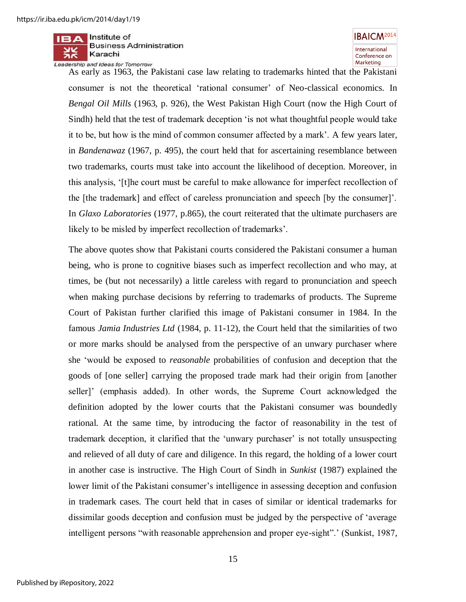

As early as 1963, the Pakistani case law relating to trademarks hinted that the Pakistani consumer is not the theoretical 'rational consumer' of Neo-classical economics. In *Bengal Oil Mills* (1963, p. 926), the West Pakistan High Court (now the High Court of Sindh) held that the test of trademark deception 'is not what thoughtful people would take it to be, but how is the mind of common consumer affected by a mark'. A few years later, in *Bandenawaz* (1967, p. 495), the court held that for ascertaining resemblance between two trademarks, courts must take into account the likelihood of deception. Moreover, in this analysis, '[t]he court must be careful to make allowance for imperfect recollection of the [the trademark] and effect of careless pronunciation and speech [by the consumer]'. In *Glaxo Laboratories* (1977, p.865), the court reiterated that the ultimate purchasers are likely to be misled by imperfect recollection of trademarks'.

The above quotes show that Pakistani courts considered the Pakistani consumer a human being, who is prone to cognitive biases such as imperfect recollection and who may, at times, be (but not necessarily) a little careless with regard to pronunciation and speech when making purchase decisions by referring to trademarks of products. The Supreme Court of Pakistan further clarified this image of Pakistani consumer in 1984. In the famous *Jamia Industries Ltd* (1984, p. 11-12), the Court held that the similarities of two or more marks should be analysed from the perspective of an unwary purchaser where she 'would be exposed to *reasonable* probabilities of confusion and deception that the goods of [one seller] carrying the proposed trade mark had their origin from [another seller]' (emphasis added). In other words, the Supreme Court acknowledged the definition adopted by the lower courts that the Pakistani consumer was boundedly rational. At the same time, by introducing the factor of reasonability in the test of trademark deception, it clarified that the 'unwary purchaser' is not totally unsuspecting and relieved of all duty of care and diligence. In this regard, the holding of a lower court in another case is instructive. The High Court of Sindh in *Sunkist* (1987) explained the lower limit of the Pakistani consumer's intelligence in assessing deception and confusion in trademark cases. The court held that in cases of similar or identical trademarks for dissimilar goods deception and confusion must be judged by the perspective of 'average intelligent persons "with reasonable apprehension and proper eye-sight".' (Sunkist, 1987,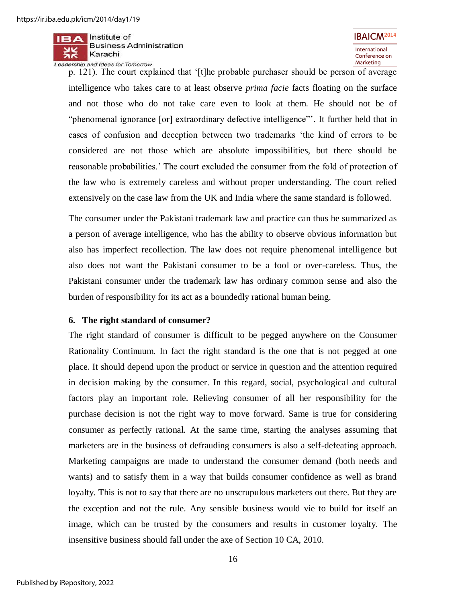

Leadership and Ideas for Tomorrow



p. 121). The court explained that '[t]he probable purchaser should be person of average intelligence who takes care to at least observe *prima facie* facts floating on the surface and not those who do not take care even to look at them. He should not be of "phenomenal ignorance [or] extraordinary defective intelligence"'. It further held that in cases of confusion and deception between two trademarks 'the kind of errors to be considered are not those which are absolute impossibilities, but there should be reasonable probabilities.' The court excluded the consumer from the fold of protection of the law who is extremely careless and without proper understanding. The court relied extensively on the case law from the UK and India where the same standard is followed.

The consumer under the Pakistani trademark law and practice can thus be summarized as a person of average intelligence, who has the ability to observe obvious information but also has imperfect recollection. The law does not require phenomenal intelligence but also does not want the Pakistani consumer to be a fool or over-careless. Thus, the Pakistani consumer under the trademark law has ordinary common sense and also the burden of responsibility for its act as a boundedly rational human being.

#### **6. The right standard of consumer?**

The right standard of consumer is difficult to be pegged anywhere on the Consumer Rationality Continuum. In fact the right standard is the one that is not pegged at one place. It should depend upon the product or service in question and the attention required in decision making by the consumer. In this regard, social, psychological and cultural factors play an important role. Relieving consumer of all her responsibility for the purchase decision is not the right way to move forward. Same is true for considering consumer as perfectly rational. At the same time, starting the analyses assuming that marketers are in the business of defrauding consumers is also a self-defeating approach. Marketing campaigns are made to understand the consumer demand (both needs and wants) and to satisfy them in a way that builds consumer confidence as well as brand loyalty. This is not to say that there are no unscrupulous marketers out there. But they are the exception and not the rule. Any sensible business would vie to build for itself an image, which can be trusted by the consumers and results in customer loyalty. The insensitive business should fall under the axe of Section 10 CA, 2010.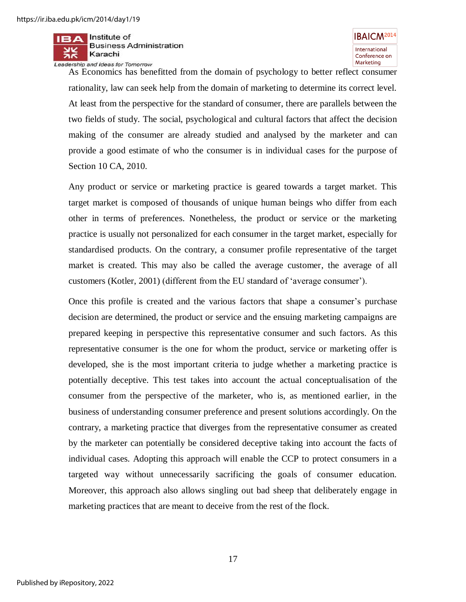$\overline{1}$   $\overline{2}$  Institute of **Business Administration** Karachi

Leadership and Ideas for Tomorrow



As Economics has benefitted from the domain of psychology to better reflect consumer rationality, law can seek help from the domain of marketing to determine its correct level. At least from the perspective for the standard of consumer, there are parallels between the two fields of study. The social, psychological and cultural factors that affect the decision making of the consumer are already studied and analysed by the marketer and can provide a good estimate of who the consumer is in individual cases for the purpose of Section 10 CA, 2010.

Any product or service or marketing practice is geared towards a target market. This target market is composed of thousands of unique human beings who differ from each other in terms of preferences. Nonetheless, the product or service or the marketing practice is usually not personalized for each consumer in the target market, especially for standardised products. On the contrary, a consumer profile representative of the target market is created. This may also be called the average customer, the average of all customers (Kotler, 2001) (different from the EU standard of 'average consumer').

Once this profile is created and the various factors that shape a consumer's purchase decision are determined, the product or service and the ensuing marketing campaigns are prepared keeping in perspective this representative consumer and such factors. As this representative consumer is the one for whom the product, service or marketing offer is developed, she is the most important criteria to judge whether a marketing practice is potentially deceptive. This test takes into account the actual conceptualisation of the consumer from the perspective of the marketer, who is, as mentioned earlier, in the business of understanding consumer preference and present solutions accordingly. On the contrary, a marketing practice that diverges from the representative consumer as created by the marketer can potentially be considered deceptive taking into account the facts of individual cases. Adopting this approach will enable the CCP to protect consumers in a targeted way without unnecessarily sacrificing the goals of consumer education. Moreover, this approach also allows singling out bad sheep that deliberately engage in marketing practices that are meant to deceive from the rest of the flock.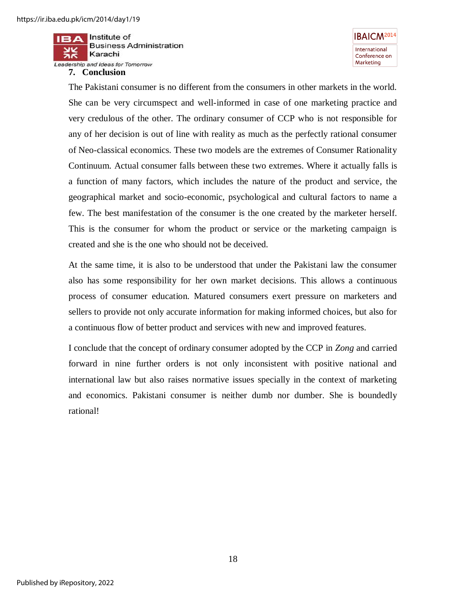$\mathbf{I}$  **Piper** Institute of **Business Administration** Karachi Leadership and Ideas for Tomorrow

#### **7. Conclusion**



The Pakistani consumer is no different from the consumers in other markets in the world. She can be very circumspect and well-informed in case of one marketing practice and very credulous of the other. The ordinary consumer of CCP who is not responsible for any of her decision is out of line with reality as much as the perfectly rational consumer of Neo-classical economics. These two models are the extremes of Consumer Rationality Continuum. Actual consumer falls between these two extremes. Where it actually falls is a function of many factors, which includes the nature of the product and service, the geographical market and socio-economic, psychological and cultural factors to name a few. The best manifestation of the consumer is the one created by the marketer herself. This is the consumer for whom the product or service or the marketing campaign is created and she is the one who should not be deceived.

At the same time, it is also to be understood that under the Pakistani law the consumer also has some responsibility for her own market decisions. This allows a continuous process of consumer education. Matured consumers exert pressure on marketers and sellers to provide not only accurate information for making informed choices, but also for a continuous flow of better product and services with new and improved features.

I conclude that the concept of ordinary consumer adopted by the CCP in *Zong* and carried forward in nine further orders is not only inconsistent with positive national and international law but also raises normative issues specially in the context of marketing and economics. Pakistani consumer is neither dumb nor dumber. She is boundedly rational!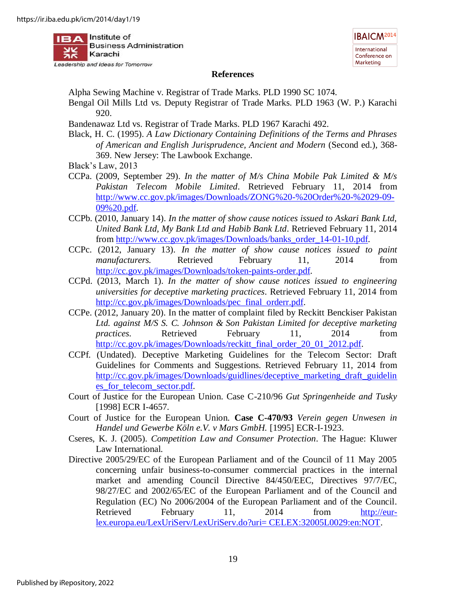$\mathbf{I}$  **Piper** Institute of **Business Administration** Karachi Leadership and Ideas for Tomorrow



#### **References**

Alpha Sewing Machine v. Registrar of Trade Marks. PLD 1990 SC 1074.

Bengal Oil Mills Ltd vs. Deputy Registrar of Trade Marks. PLD 1963 (W. P.) Karachi 920.

Bandenawaz Ltd vs. Registrar of Trade Marks. PLD 1967 Karachi 492.

Black, H. C. (1995). *A Law Dictionary Containing Definitions of the Terms and Phrases of American and English Jurisprudence, Ancient and Modern* (Second ed.), 368- 369. New Jersey: The Lawbook Exchange.

Black's Law, 2013

- CCPa. (2009, September 29). *In the matter of M/s China Mobile Pak Limited & M/s Pakistan Telecom Mobile Limited*. Retrieved February 11, 2014 from [http://www.cc.gov.pk/images/Downloads/ZONG%20-%20Order%20-%2029-09-](http://www.cc.gov.pk/images/Downloads/ZONG%20-%20Order%20-%2029-09-09%20.pdf) [09%20.pdf.](http://www.cc.gov.pk/images/Downloads/ZONG%20-%20Order%20-%2029-09-09%20.pdf)
- CCPb. (2010, January 14). *In the matter of show cause notices issued to Askari Bank Ltd, United Bank Ltd, My Bank Ltd and Habib Bank Ltd*. Retrieved February 11, 2014 from [http://www.cc.gov.pk/images/Downloads/banks\\_order\\_14-01-10.pdf.](http://www.cc.gov.pk/images/Downloads/banks_order_14-01-10.pdf)
- CCPc. (2012, January 13). *In the matter of show cause notices issued to paint manufacturers.* Retrieved February 11, 2014 from [http://cc.gov.pk/images/Downloads/token-paints-order.pdf.](http://cc.gov.pk/images/Downloads/token-paints-order.pdf)
- CCPd. (2013, March 1). *In the matter of show cause notices issued to engineering universities for deceptive marketing practices*. Retrieved February 11, 2014 from [http://cc.gov.pk/images/Downloads/pec\\_final\\_orderr.pdf.](http://cc.gov.pk/images/Downloads/pec_final_orderr.pdf)
- CCPe. (2012, January 20). In the matter of complaint filed by Reckitt Benckiser Pakistan *Ltd. against M/S S. C. Johnson & Son Pakistan Limited for deceptive marketing practices*. Retrieved February 11, 2014 from [http://cc.gov.pk/images/Downloads/reckitt\\_final\\_order\\_20\\_01\\_2012.pdf.](http://cc.gov.pk/images/Downloads/reckitt_final_order_20_01_2012.pdf)
- CCPf. (Undated). Deceptive Marketing Guidelines for the Telecom Sector: Draft Guidelines for Comments and Suggestions. Retrieved February 11, 2014 from [http://cc.gov.pk/images/Downloads/guidlines/deceptive\\_marketing\\_draft\\_guidelin](http://cc.gov.pk/images/Downloads/guidlines/deceptive_marketing_draft_guidelines_for_telecom_sector.pdf) es for telecom sector.pdf.
- Court of Justice for the European Union. Case C-210/96 *Gut Springenheide and Tusky*  [1998] ECR I-4657.
- Court of Justice for the European Union. **Case C-470/93** *Verein gegen Unwesen in Handel und Gewerbe Köln e.V. v Mars GmbH.* [1995] ECR-I-1923.
- Cseres, K. J. (2005). *Competition Law and Consumer Protection*. The Hague: Kluwer Law International.
- Directive 2005/29/EC of the European Parliament and of the Council of 11 May 2005 concerning unfair business-to-consumer commercial practices in the internal market and amending Council Directive 84/450/EEC, Directives 97/7/EC, 98/27/EC and 2002/65/EC of the European Parliament and of the Council and Regulation (EC) No 2006/2004 of the European Parliament and of the Council. Retrieved February 11, 2014 from [http://eur](http://eur-lex.europa.eu/LexUriServ/LexUriServ.do?uri=%20CELEX:32005L0029:en:NOT)[lex.europa.eu/LexUriServ/LexUriServ.do?uri= CELEX:32005L0029:en:NOT.](http://eur-lex.europa.eu/LexUriServ/LexUriServ.do?uri=%20CELEX:32005L0029:en:NOT)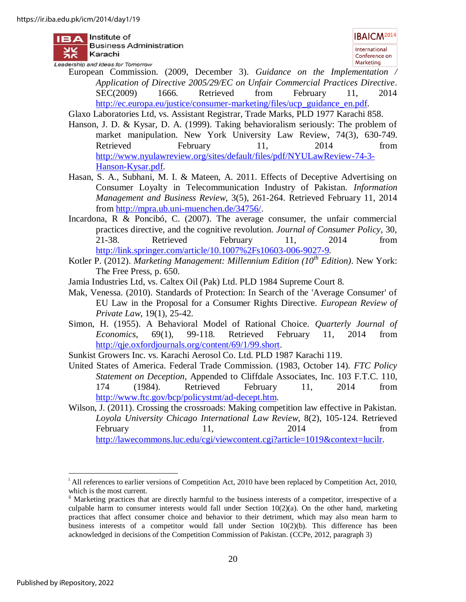Institute of **Business Administration** 

Karachi



Leadership and Ideas for Tomorrow European Commission. (2009, December 3). *Guidance on the Implementation / Application of Directive 2005/29/EC on Unfair Commercial Practices Directive*. SEC(2009) 1666. Retrieved from February 11, 2014 [http://ec.europa.eu/justice/consumer-marketing/files/ucp\\_guidance\\_en.pdf.](http://ec.europa.eu/justice/consumer-marketing/files/ucp_guidance_en.pdf)

Glaxo Laboratories Ltd, vs. Assistant Registrar, Trade Marks, PLD 1977 Karachi 858.

- Hanson, J. D. & Kysar, D. A. (1999). Taking behavioralism seriously: The problem of market manipulation. New York University Law Review, 74(3), 630-749. Retrieved February 11, 2014 from [http://www.nyulawreview.org/sites/default/files/pdf/NYULawReview-74-3-](http://www.nyulawreview.org/sites/default/files/pdf/NYULawReview-74-3-Hanson-Kysar.pdf) [Hanson-Kysar.pdf.](http://www.nyulawreview.org/sites/default/files/pdf/NYULawReview-74-3-Hanson-Kysar.pdf)
- Hasan, S. A., Subhani, M. I. & Mateen, A. 2011. Effects of Deceptive Advertising on Consumer Loyalty in Telecommunication Industry of Pakistan. *Information Management and Business Review*, 3(5), 261-264. Retrieved February 11, 2014 from [http://mpra.ub.uni-muenchen.de/34756/.](http://mpra.ub.uni-muenchen.de/34756/)
- Incardona, R & Poncibó, C. (2007). The average consumer, the unfair commercial practices directive, and the cognitive revolution. *Journal of Consumer Policy*, 30, 21-38. Retrieved February 11, 2014 from [http://link.springer.com/article/10.1007%2Fs10603-006-9027-9.](http://link.springer.com/article/10.1007%2Fs10603-006-9027-9)
- Kotler P. (2012). *Marketing Management: Millennium Edition (10th Edition)*. New York: The Free Press, p. 650.
- Jamia Industries Ltd, vs. Caltex Oil (Pak) Ltd. PLD 1984 Supreme Court 8.
- Mak, Venessa. (2010). Standards of Protection: In Search of the 'Average Consumer' of EU Law in the Proposal for a Consumer Rights Directive. *European Review of Private Law*, 19(1), 25-42.
- Simon, H. (1955). A Behavioral Model of Rational Choice. *Quarterly Journal of Economics*, 69(1), 99-118. Retrieved February 11, 2014 from [http://qje.oxfordjournals.org/content/69/1/99.short.](http://qje.oxfordjournals.org/content/69/1/99.short)

Sunkist Growers Inc. vs. Karachi Aerosol Co. Ltd. PLD 1987 Karachi 119.

- United States of America. Federal Trade Commission. (1983, October 14). *FTC Policy Statement on Deception*, Appended to Cliffdale Associates, Inc. 103 F.T.C. 110, 174 (1984). Retrieved February 11, 2014 from [http://www.ftc.gov/bcp/policystmt/ad-decept.htm.](http://www.ftc.gov/bcp/policystmt/ad-decept.htm)
- Wilson, J. (2011). Crossing the crossroads: Making competition law effective in Pakistan. *Loyola University Chicago International Law Review*, 8(2), 105-124. Retrieved February 11, 2014 from [http://lawecommons.luc.edu/cgi/viewcontent.cgi?article=1019&context=lucilr.](http://lawecommons.luc.edu/cgi/viewcontent.cgi?article=1019&context=lucilr)

 $\overline{a}$ 

<sup>&</sup>lt;sup>i</sup> All references to earlier versions of Competition Act, 2010 have been replaced by Competition Act, 2010, which is the most current.

ii Marketing practices that are directly harmful to the business interests of a competitor, irrespective of a culpable harm to consumer interests would fall under Section  $10(2)(a)$ . On the other hand, marketing practices that affect consumer choice and behavior to their detriment, which may also mean harm to business interests of a competitor would fall under Section 10(2)(b). This difference has been acknowledged in decisions of the Competition Commission of Pakistan. (CCPe, 2012, paragraph 3)